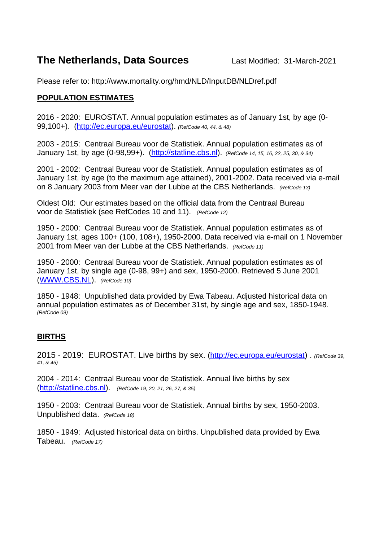## **The Netherlands, Data Sources** Last Modified: 31-March-2021

Please refer to: http://www.mortality.org/hmd/NLD/InputDB/NLDref.pdf

## **POPULATION ESTIMATES**

2016 - 2020: EUROSTAT. Annual population estimates as of January 1st, by age (0- 99,100+). [\(http://ec.europa.eu/eurostat\)](http://ec.europa.eu/eurostat). *(RefCode 40, 44, & 48)*

2003 - 2015: Centraal Bureau voor de Statistiek. Annual population estimates as of January 1st, by age (0-98,99+). [\(http://statline.cbs.nl\)](http://statline.cbs.nl/). *(RefCode 14, 15, 16, 22, 25, 30, & 34)*

2001 - 2002: Centraal Bureau voor de Statistiek. Annual population estimates as of January 1st, by age (to the maximum age attained), 2001-2002. Data received via e-mail on 8 January 2003 from Meer van der Lubbe at the CBS Netherlands. *(RefCode 13)*

Oldest Old: Our estimates based on the official data from the Centraal Bureau voor de Statistiek (see RefCodes 10 and 11). *(RefCode 12)*

1950 - 2000: Centraal Bureau voor de Statistiek. Annual population estimates as of January 1st, ages 100+ (100, 108+), 1950-2000. Data received via e-mail on 1 November 2001 from Meer van der Lubbe at the CBS Netherlands. *(RefCode 11)*

1950 - 2000: Centraal Bureau voor de Statistiek. Annual population estimates as of January 1st, by single age (0-98, 99+) and sex, 1950-2000. Retrieved 5 June 2001 [\(WWW.CBS.NL\)](http://www.cbs.nl/). *(RefCode 10)*

1850 - 1948: Unpublished data provided by Ewa Tabeau. Adjusted historical data on annual population estimates as of December 31st, by single age and sex, 1850-1948. *(RefCode 09)*

## **BIRTHS**

2015 - 2019: EUROSTAT. Live births by sex. [\(http://ec.europa.eu/eurostat\)](http://ec.europa.eu/eurostat) . *(RefCode 39, 41, & 45)*

2004 - 2014: Centraal Bureau voor de Statistiek. Annual live births by sex [\(http://statline.cbs.nl\)](http://statline.cbs.nl/). *(RefCode 19, 20, 21, 26, 27, & 35)*

1950 - 2003: Centraal Bureau voor de Statistiek. Annual births by sex, 1950-2003. Unpublished data. *(RefCode 18)*

1850 - 1949: Adjusted historical data on births. Unpublished data provided by Ewa Tabeau. *(RefCode 17)*